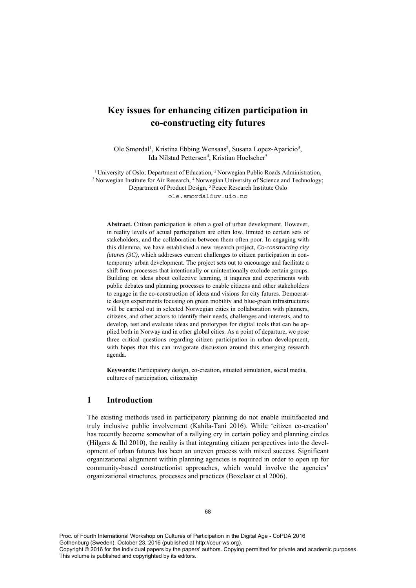# **Key issues for enhancing citizen participation in co-constructing city futures**

Ole Smørdal<sup>1</sup>, Kristina Ebbing Wensaas<sup>2</sup>, Susana Lopez-Aparicio<sup>3</sup>, Ida Nilstad Pettersen<sup>4</sup>, Kristian Hoelscher<sup>5</sup>

<sup>1</sup> University of Oslo; Department of Education, <sup>2</sup> Norwegian Public Roads Administration, <sup>3</sup> Norwegian Institute for Air Research, <sup>4</sup> Norwegian University of Science and Technology; Department of Product Design, 5 Peace Research Institute Oslo ole.smordal@uv.uio.no

**Abstract.** Citizen participation is often a goal of urban development. However, in reality levels of actual participation are often low, limited to certain sets of stakeholders, and the collaboration between them often poor. In engaging with this dilemma, we have established a new research project, *Co-constructing city futures (3C)*, which addresses current challenges to citizen participation in contemporary urban development. The project sets out to encourage and facilitate a shift from processes that intentionally or unintentionally exclude certain groups. Building on ideas about collective learning, it inquires and experiments with public debates and planning processes to enable citizens and other stakeholders to engage in the co-construction of ideas and visions for city futures. Democratic design experiments focusing on green mobility and blue-green infrastructures will be carried out in selected Norwegian cities in collaboration with planners, citizens, and other actors to identify their needs, challenges and interests, and to develop, test and evaluate ideas and prototypes for digital tools that can be applied both in Norway and in other global cities. As a point of departure, we pose three critical questions regarding citizen participation in urban development, with hopes that this can invigorate discussion around this emerging research agenda.

**Keywords:** Participatory design, co-creation, situated simulation, social media, cultures of participation, citizenship

## **1 Introduction**

The existing methods used in participatory planning do not enable multifaceted and truly inclusive public involvement (Kahila-Tani 2016). While 'citizen co-creation' has recently become somewhat of a rallying cry in certain policy and planning circles (Hilgers  $\&$  Ihl 2010), the reality is that integrating citizen perspectives into the development of urban futures has been an uneven process with mixed success. Significant organizational alignment within planning agencies is required in order to open up for community-based constructionist approaches, which would involve the agencies' organizational structures, processes and practices (Boxelaar et al 2006).

Proc. of Fourth International Workshop on Cultures of Participation in the Digital Age - CoPDA 2016 Gothenburg (Sweden), October 23, 2016 (published at http://ceur-ws.org). Copyright © 2016 for the individual papers by the papers' authors. Copying permitted for private and academic purposes. This volume is published and copyrighted by its editors.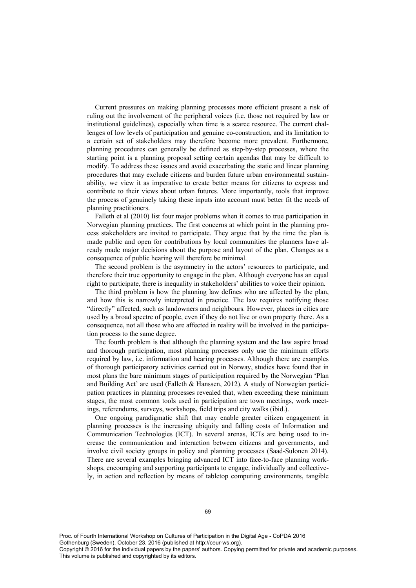Current pressures on making planning processes more efficient present a risk of ruling out the involvement of the peripheral voices (i.e. those not required by law or institutional guidelines), especially when time is a scarce resource. The current challenges of low levels of participation and genuine co-construction, and its limitation to a certain set of stakeholders may therefore become more prevalent. Furthermore, planning procedures can generally be defined as step-by-step processes, where the starting point is a planning proposal setting certain agendas that may be difficult to modify. To address these issues and avoid exacerbating the static and linear planning procedures that may exclude citizens and burden future urban environmental sustainability, we view it as imperative to create better means for citizens to express and contribute to their views about urban futures. More importantly, tools that improve the process of genuinely taking these inputs into account must better fit the needs of planning practitioners.

Falleth et al (2010) list four major problems when it comes to true participation in Norwegian planning practices. The first concerns at which point in the planning process stakeholders are invited to participate. They argue that by the time the plan is made public and open for contributions by local communities the planners have already made major decisions about the purpose and layout of the plan. Changes as a consequence of public hearing will therefore be minimal.

The second problem is the asymmetry in the actors' resources to participate, and therefore their true opportunity to engage in the plan. Although everyone has an equal right to participate, there is inequality in stakeholders' abilities to voice their opinion.

The third problem is how the planning law defines who are affected by the plan, and how this is narrowly interpreted in practice. The law requires notifying those "directly" affected, such as landowners and neighbours. However, places in cities are used by a broad spectre of people, even if they do not live or own property there. As a consequence, not all those who are affected in reality will be involved in the participation process to the same degree.

The fourth problem is that although the planning system and the law aspire broad and thorough participation, most planning processes only use the minimum efforts required by law, i.e. information and hearing processes. Although there are examples of thorough participatory activities carried out in Norway, studies have found that in most plans the bare minimum stages of participation required by the Norwegian 'Plan and Building Act' are used (Falleth & Hanssen, 2012). A study of Norwegian participation practices in planning processes revealed that, when exceeding these minimum stages, the most common tools used in participation are town meetings, work meetings, referendums, surveys, workshops, field trips and city walks (ibid.).

One ongoing paradigmatic shift that may enable greater citizen engagement in planning processes is the increasing ubiquity and falling costs of Information and Communication Technologies (ICT). In several arenas, ICTs are being used to increase the communication and interaction between citizens and governments, and involve civil society groups in policy and planning processes (Saad-Sulonen 2014). There are several examples bringing advanced ICT into face-to-face planning workshops, encouraging and supporting participants to engage, individually and collectively, in action and reflection by means of tabletop computing environments, tangible

Proc. of Fourth International Workshop on Cultures of Participation in the Digital Age - CoPDA 2016 Gothenburg (Sweden), October 23, 2016 (published at http://ceur-ws.org).

Copyright © 2016 for the individual papers by the papers' authors. Copying permitted for private and academic purposes. This volume is published and copyrighted by its editors.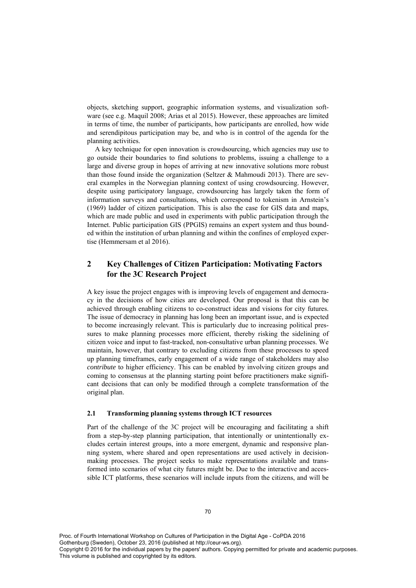objects, sketching support, geographic information systems, and visualization software (see e.g. Maquil 2008; Arias et al 2015). However, these approaches are limited in terms of time, the number of participants, how participants are enrolled, how wide and serendipitous participation may be, and who is in control of the agenda for the planning activities.

A key technique for open innovation is crowdsourcing, which agencies may use to go outside their boundaries to find solutions to problems, issuing a challenge to a large and diverse group in hopes of arriving at new innovative solutions more robust than those found inside the organization (Seltzer & Mahmoudi 2013). There are several examples in the Norwegian planning context of using crowdsourcing. However, despite using participatory language, crowdsourcing has largely taken the form of information surveys and consultations, which correspond to tokenism in Arnstein's (1969) ladder of citizen participation. This is also the case for GIS data and maps, which are made public and used in experiments with public participation through the Internet. Public participation GIS (PPGIS) remains an expert system and thus bounded within the institution of urban planning and within the confines of employed expertise (Hemmersam et al 2016).

## **2 Key Challenges of Citizen Participation: Motivating Factors for the 3C Research Project**

A key issue the project engages with is improving levels of engagement and democracy in the decisions of how cities are developed. Our proposal is that this can be achieved through enabling citizens to co-construct ideas and visions for city futures. The issue of democracy in planning has long been an important issue, and is expected to become increasingly relevant. This is particularly due to increasing political pressures to make planning processes more efficient, thereby risking the sidelining of citizen voice and input to fast-tracked, non-consultative urban planning processes. We maintain, however, that contrary to excluding citizens from these processes to speed up planning timeframes, early engagement of a wide range of stakeholders may also *contribute* to higher efficiency. This can be enabled by involving citizen groups and coming to consensus at the planning starting point before practitioners make significant decisions that can only be modified through a complete transformation of the original plan.

#### **2.1 Transforming planning systems through ICT resources**

Part of the challenge of the 3C project will be encouraging and facilitating a shift from a step-by-step planning participation, that intentionally or unintentionally excludes certain interest groups, into a more emergent, dynamic and responsive planning system, where shared and open representations are used actively in decisionmaking processes. The project seeks to make representations available and transformed into scenarios of what city futures might be. Due to the interactive and accessible ICT platforms, these scenarios will include inputs from the citizens, and will be

Proc. of Fourth International Workshop on Cultures of Participation in the Digital Age - CoPDA 2016 Gothenburg (Sweden), October 23, 2016 (published at http://ceur-ws.org). Copyright © 2016 for the individual papers by the papers' authors. Copying permitted for private and academic purposes. This volume is published and copyrighted by its editors.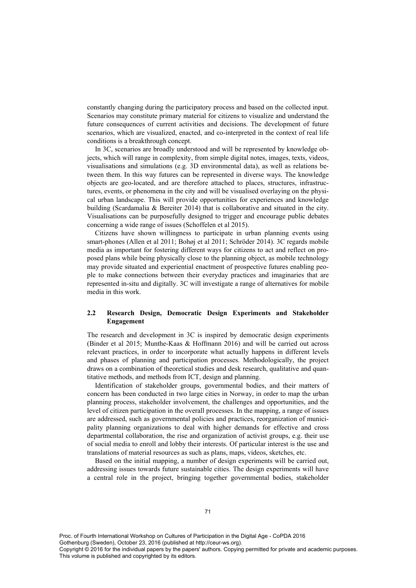constantly changing during the participatory process and based on the collected input. Scenarios may constitute primary material for citizens to visualize and understand the future consequences of current activities and decisions. The development of future scenarios, which are visualized, enacted, and co-interpreted in the context of real life conditions is a breakthrough concept.

In 3C, scenarios are broadly understood and will be represented by knowledge objects, which will range in complexity, from simple digital notes, images, texts, videos, visualisations and simulations (e.g. 3D environmental data), as well as relations between them. In this way futures can be represented in diverse ways. The knowledge objects are geo-located, and are therefore attached to places, structures, infrastructures, events, or phenomena in the city and will be visualised overlaying on the physical urban landscape. This will provide opportunities for experiences and knowledge building (Scardamalia & Bereiter 2014) that is collaborative and situated in the city. Visualisations can be purposefully designed to trigger and encourage public debates concerning a wide range of issues (Schoffelen et al 2015).

Citizens have shown willingness to participate in urban planning events using smart-phones (Allen et al 2011; Bohøj et al 2011; Schröder 2014). 3C regards mobile media as important for fostering different ways for citizens to act and reflect on proposed plans while being physically close to the planning object, as mobile technology may provide situated and experiential enactment of prospective futures enabling people to make connections between their everyday practices and imaginaries that are represented in-situ and digitally. 3C will investigate a range of alternatives for mobile media in this work.

#### **2.2 Research Design, Democratic Design Experiments and Stakeholder Engagement**

The research and development in 3C is inspired by democratic design experiments (Binder et al 2015; Munthe-Kaas & Hoffmann 2016) and will be carried out across relevant practices, in order to incorporate what actually happens in different levels and phases of planning and participation processes. Methodologically, the project draws on a combination of theoretical studies and desk research, qualitative and quantitative methods, and methods from ICT, design and planning.

Identification of stakeholder groups, governmental bodies, and their matters of concern has been conducted in two large cities in Norway, in order to map the urban planning process, stakeholder involvement, the challenges and opportunities, and the level of citizen participation in the overall processes. In the mapping, a range of issues are addressed, such as governmental policies and practices, reorganization of municipality planning organizations to deal with higher demands for effective and cross departmental collaboration, the rise and organization of activist groups, e.g. their use of social media to enroll and lobby their interests. Of particular interest is the use and translations of material resources as such as plans, maps, videos, sketches, etc.

Based on the initial mapping, a number of design experiments will be carried out, addressing issues towards future sustainable cities. The design experiments will have a central role in the project, bringing together governmental bodies, stakeholder

Proc. of Fourth International Workshop on Cultures of Participation in the Digital Age - CoPDA 2016 Gothenburg (Sweden), October 23, 2016 (published at http://ceur-ws.org). Copyright © 2016 for the individual papers by the papers' authors. Copying permitted for private and academic purposes. This volume is published and copyrighted by its editors.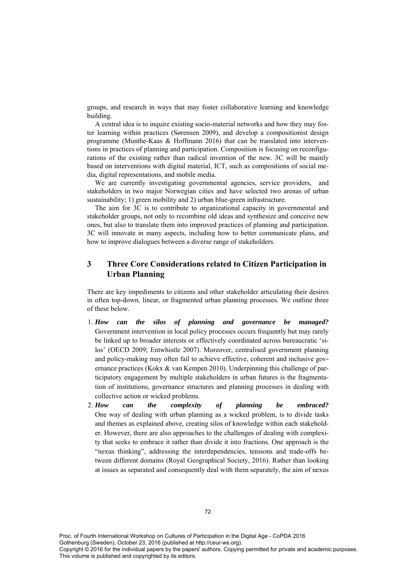groups, and research in ways that may foster collaborative learning and knowledge building.

A central idea is to inquire existing socio-material networks and how they may foster learning within practices (Sørensen 2009), and develop a compositionist design programme (Munthe-Kaas & Hoffmann 2016) that can be translated into interventions in practices of planning and participation. Composition is focusing on reconfigurations of the existing rather than radical invention of the new. 3C will be mainly based on interventions with digital material, ICT, such as compositions of social media, digital representations, and mobile media.

We are currently investigating governmental agencies, service providers, and stakeholders in two major Norwegian cities and have selected two arenas of urban sustainability; 1) green mobility and 2) urban blue-green infrastructure.

The aim for 3C is to contribute to organizational capacity in governmental and stakeholder groups, not only to recombine old ideas and synthesize and conceive new ones, but also to translate them into improved practices of planning and participation. 3C will innovate in many aspects, including how to better communicate plans, and how to improve dialogues between a diverse range of stakeholders.

## **3 Three Core Considerations related to Citizen Participation in Urban Planning**

There are key impediments to citizens and other stakeholder articulating their desires in often top-down, linear, or fragmented urban planning processes. We outline three of these below.

- 1. *How can the silos of planning and governance be managed?* Government intervention in local policy processes occurs frequently but may rarely be linked up to broader interests or effectively coordinated across bureaucratic 'silos' (OECD 2009; Entwhistle 2007). Moreover, centralised government planning and policy-making may often fail to achieve effective, coherent and inclusive governance practices (Kokx & van Kempen 2010). Underpinning this challenge of participatory engagement by multiple stakeholders in urban futures is the fragmentation of institutions, governance structures and planning processes in dealing with collective action or wicked problems.
- 2. *How can the complexity of planning be embraced?* One way of dealing with urban planning as a wicked problem, is to divide tasks and themes as explained above, creating silos of knowledge within each stakeholder. However, there are also approaches to the challenges of dealing with complexity that seeks to embrace it rather than divide it into fractions. One approach is the "nexus thinking", addressing the interdependencies, tensions and trade-offs between different domains (Royal Geographical Society, 2016). Rather than looking at issues as separated and consequently deal with them separately, the aim of nexus

Proc. of Fourth International Workshop on Cultures of Participation in the Digital Age - CoPDA 2016 Gothenburg (Sweden), October 23, 2016 (published at http://ceur-ws.org). Copyright © 2016 for the individual papers by the papers' authors. Copying permitted for private and academic purposes. This volume is published and copyrighted by its editors.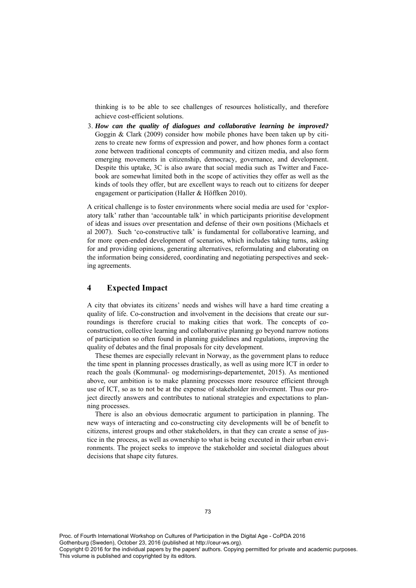thinking is to be able to see challenges of resources holistically, and therefore achieve cost-efficient solutions.

3. *How can the quality of dialogues and collaborative learning be improved?* Goggin & Clark (2009) consider how mobile phones have been taken up by citizens to create new forms of expression and power, and how phones form a contact zone between traditional concepts of community and citizen media, and also form emerging movements in citizenship, democracy, governance, and development. Despite this uptake, 3C is also aware that social media such as Twitter and Facebook are somewhat limited both in the scope of activities they offer as well as the kinds of tools they offer, but are excellent ways to reach out to citizens for deeper engagement or participation (Haller & Höffken 2010).

A critical challenge is to foster environments where social media are used for 'exploratory talk' rather than 'accountable talk' in which participants prioritise development of ideas and issues over presentation and defense of their own positions (Michaels et al 2007). Such 'co-constructive talk' is fundamental for collaborative learning, and for more open-ended development of scenarios, which includes taking turns, asking for and providing opinions, generating alternatives, reformulating and elaborating on the information being considered, coordinating and negotiating perspectives and seeking agreements.

## **4 Expected Impact**

A city that obviates its citizens' needs and wishes will have a hard time creating a quality of life. Co-construction and involvement in the decisions that create our surroundings is therefore crucial to making cities that work. The concepts of coconstruction, collective learning and collaborative planning go beyond narrow notions of participation so often found in planning guidelines and regulations, improving the quality of debates and the final proposals for city development.

These themes are especially relevant in Norway, as the government plans to reduce the time spent in planning processes drastically, as well as using more ICT in order to reach the goals (Kommunal- og modernisrings-departementet, 2015). As mentioned above, our ambition is to make planning processes more resource efficient through use of ICT, so as to not be at the expense of stakeholder involvement. Thus our project directly answers and contributes to national strategies and expectations to planning processes.

There is also an obvious democratic argument to participation in planning. The new ways of interacting and co-constructing city developments will be of benefit to citizens, interest groups and other stakeholders, in that they can create a sense of justice in the process, as well as ownership to what is being executed in their urban environments. The project seeks to improve the stakeholder and societal dialogues about decisions that shape city futures.

Proc. of Fourth International Workshop on Cultures of Participation in the Digital Age - CoPDA 2016 Gothenburg (Sweden), October 23, 2016 (published at http://ceur-ws.org). Copyright © 2016 for the individual papers by the papers' authors. Copying permitted for private and academic purposes. This volume is published and copyrighted by its editors.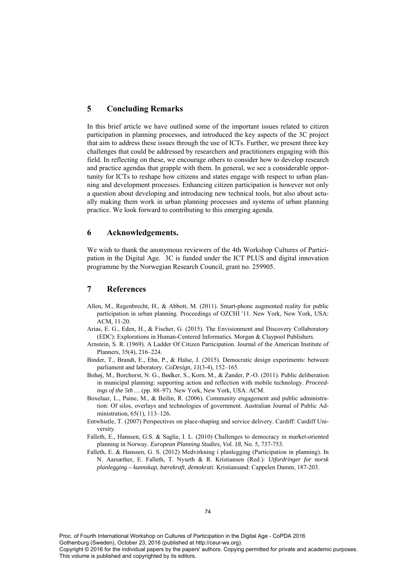## **5 Concluding Remarks**

In this brief article we have outlined some of the important issues related to citizen participation in planning processes, and introduced the key aspects of the 3C project that aim to address these issues through the use of ICTs. Further, we present three key challenges that could be addressed by researchers and practitioners engaging with this field. In reflecting on these, we encourage others to consider how to develop research and practice agendas that grapple with them. In general, we see a considerable opportunity for ICTs to reshape how citizens and states engage with respect to urban planning and development processes. Enhancing citizen participation is however not only a question about developing and introducing new technical tools, but also about actually making them work in urban planning processes and systems of urban planning practice. We look forward to contributing to this emerging agenda.

## **6 Acknowledgements.**

We wish to thank the anonymous reviewers of the 4th Workshop Cultures of Participation in the Digital Age. 3C is funded under the ICT PLUS and digital innovation programme by the Norwegian Research Council, grant no. 259905.

## **7 References**

- Allen, M., Regenbrecht, H., & Abbott, M. (2011). Smart-phone augmented reality for public participation in urban planning. Proceedings of OZCHI '11. New York, New York, USA: ACM, 11-20.
- Arias, E. G., Eden, H., & Fischer, G. (2015). The Envisionment and Discovery Collaboratory (EDC): Explorations in Human-Centered Informatics. Morgan & Claypool Publishers.
- Arnstein, S. R. (1969). A Ladder Of Citizen Participation. Journal of the American Institute of Planners, 35(4), 216–224.
- Binder, T., Brandt, E., Ehn, P., & Halse, J. (2015). Democratic design experiments: between parliament and laboratory. *CoDesign*, *11*(3-4), 152–165.
- Bohøj, M., Borchorst, N. G., Bødker, S., Korn, M., & Zander, P.-O. (2011). Public deliberation in municipal planning: supporting action and reflection with mobile technology. *Proceedings of the 5th …* (pp. 88–97). New York, New York, USA: ACM.
- Boxelaar, L., Paine, M., & Beilin, R. (2006). Community engagement and public administration: Of silos, overlays and technologies of government. Australian Journal of Public Administration, 65(1), 113–126.
- Entwhistle, T. (2007) Perspectives on place-shaping and service delivery. Cardiff: Cardiff University.
- Falleth, E., Hanssen, G.S. & Saglie, I. L. (2010) Challenges to democracy in market-oriented planning in Norway. *European Planning Studies*, *Vol. 18*, No. 5, 737-753.
- Falleth, E. & Hanssen, G. S. (2012) Medvirkning i planlegging (Participation in planning). In N. Aarsæther, E. Falleth, T. Nyseth & R. Kristiansen (Red.): *Utfordringer for norsk planlegging – kunnskap, bærekraft, demokrati*. Kristiansand: Cappelen Damm, 187-203.